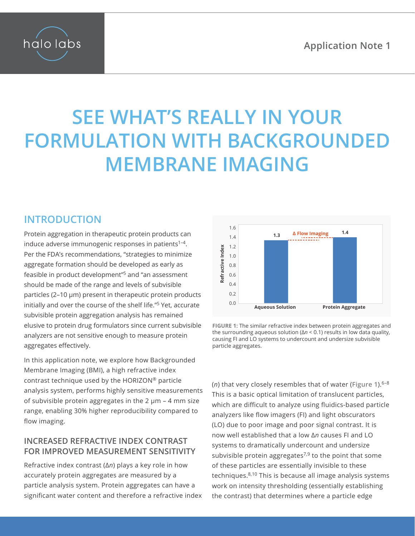

# **SEE WHAT'S REALLY IN YOUR FORMULATION WITH BACKGROUNDED MEMBRANE IMAGING**

## **INTRODUCTION**

Protein aggregation in therapeutic protein products can induce adverse immunogenic responses in patients<sup>1-4</sup>. Per the FDA's recommendations, "strategies to minimize aggregate formation should be developed as early as feasible in product development"5 and "an assessment should be made of the range and levels of subvisible particles (2–10 μm) present in therapeutic protein products initially and over the course of the shelf life."5 Yet, accurate subvisible protein aggregation analysis has remained elusive to protein drug formulators since current subvisible analyzers are not sensitive enough to measure protein aggregates effectively.

In this application note, we explore how Backgrounded Membrane Imaging (BMI), a high refractive index contrast technique used by the HORIZON® particle analysis system, performs highly sensitive measurements of subvisible protein aggregates in the  $2 \mu m - 4$  mm size range, enabling 30% higher reproducibility compared to flow imaging.

#### **INCREASED REFRACTIVE INDEX CONTRAST FOR IMPROVED MEASUREMENT SENSITIVITY**

Refractive index contrast (Δ*n*) plays a key role in how accurately protein aggregates are measured by a particle analysis system. Protein aggregates can have a significant water content and therefore a refractive index



<span id="page-0-0"></span>**Figure 1:** The similar refractive index between protein aggregates and the surrounding aqueous solution (Δ*n* < 0.1) results in low data quality, causing FI and LO systems to undercount and undersize subvisible particle aggregates.

(*n*) that very closely resembles that of water (**[Figure 1](#page-0-0)**).6–8 This is a basic optical limitation of translucent particles, which are difficult to analyze using fluidics-based particle analyzers like flow imagers (FI) and light obscurators (LO) due to poor image and poor signal contrast. It is now well established that a low Δ*n* causes FI and LO systems to dramatically undercount and undersize subvisible protein aggregates<sup>7,9</sup> to the point that some of these particles are essentially invisible to these techniques.8,10 This is because all image analysis systems work on intensity thresholding (essentially establishing the contrast) that determines where a particle edge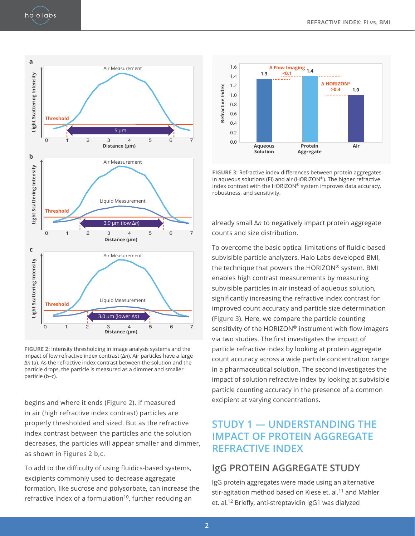

<span id="page-1-0"></span>**Figure 2:** Intensity thresholding in image analysis systems and the impact of low refractive index contrast (Δ*n*). Air particles have a large Δ*n* (a). As the refractive index contrast between the solution and the particle drops, the particle is measured as a dimmer and smaller particle (b–c).

begins and where it ends (**[Figure 2](#page-1-0)**). If measured in air (high refractive index contrast) particles are properly thresholded and sized. But as the refractive index contrast between the particles and the solution decreases, the particles will appear smaller and dimmer, as shown in **Figures 2 b,c**.

To add to the difficulty of using fluidics-based systems, excipients commonly used to decrease aggregate formation, like sucrose and polysorbate, can increase the refractive index of a formulation<sup>10</sup>, further reducing an



<span id="page-1-1"></span>**Figure 3:** Refractive index differences between protein aggregates in aqueous solutions (FI) and air (HORIZON®). The higher refractive index contrast with the HORIZON® system improves data accuracy, robustness, and sensitivity.

already small Δ*n* to negatively impact protein aggregate counts and size distribution.

To overcome the basic optical limitations of fluidic-based subvisible particle analyzers, Halo Labs developed BMI, the technique that powers the HORIZON® system. BMI enables high contrast measurements by measuring subvisible particles in air instead of aqueous solution, significantly increasing the refractive index contrast for improved count accuracy and particle size determination (**[Figure 3](#page-1-1)**). Here, we compare the particle counting sensitivity of the HORIZON® instrument with flow imagers via two studies. The first investigates the impact of particle refractive index by looking at protein aggregate count accuracy across a wide particle concentration range in a pharmaceutical solution. The second investigates the impact of solution refractive index by looking at subvisible particle counting accuracy in the presence of a common excipient at varying concentrations.

## **STUDY 1 — UNDERSTANDING THE IMPACT OF PROTEIN AGGREGATE REFRACTIVE INDEX**

### **IgG PROTEIN AGGREGATE STUDY**

IgG protein aggregates were made using an alternative stir-agitation method based on Kiese et. al.<sup>11</sup> and Mahler et. al.<sup>12</sup> Briefly, anti-streptavidin IgG1 was dialyzed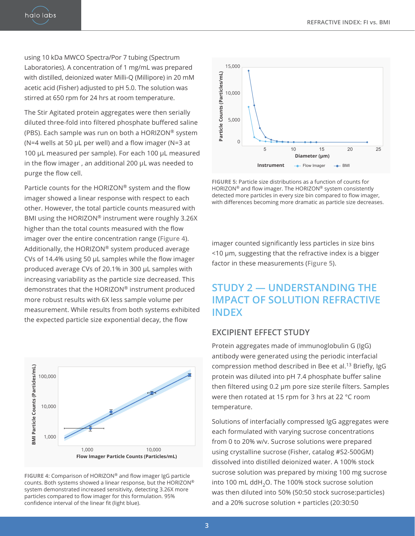halo labs

using 10 kDa MWCO Spectra/Por 7 tubing (Spectrum Laboratories). A concentration of 1 mg/mL was prepared with distilled, deionized water Milli-Q (Millipore) in 20 mM acetic acid (Fisher) adjusted to pH 5.0. The solution was stirred at 650 rpm for 24 hrs at room temperature.

The Stir Agitated protein aggregates were then serially diluted three-fold into filtered phosphate buffered saline (PBS). Each sample was run on both a HORIZON® system (N=4 wells at 50 μL per well) and a flow imager (N=3 at 100 μL measured per sample). For each 100 μL measured in the flow imager , an additional 200 μL was needed to purge the flow cell.

Particle counts for the HORIZON® system and the flow imager showed a linear response with respect to each other. However, the total particle counts measured with BMI using the HORIZON® instrument were roughly 3.26X higher than the total counts measured with the flow imager over the entire concentration range (**[Figure 4](#page-2-0)**). Additionally, the HORIZON® system produced average CVs of 14.4% using 50 µL samples while the flow imager produced average CVs of 20.1% in 300 µL samples with increasing variability as the particle size decreased. This demonstrates that the HORIZON® instrument produced more robust results with 6X less sample volume per measurement. While results from both systems exhibited the expected particle size exponential decay, the flow



<span id="page-2-0"></span>**Figure 4:** Comparison of HORIZON® and flow imager IgG particle counts. Both systems showed a linear response, but the HORIZON® system demonstrated increased sensitivity, detecting 3.26X more particles compared to flow imager for this formulation. 95% confidence interval of the linear fit (light blue).



<span id="page-2-1"></span>**Figure 5:** Particle size distributions as a function of counts for HORIZON® and flow imager. The HORIZON® system consistently detected more particles in every size bin compared to flow imager, with differences becoming more dramatic as particle size decreases.

imager counted significantly less particles in size bins <10 µm, suggesting that the refractive index is a bigger factor in these measurements (**[Figure 5](#page-2-1)**).

## **STUDY 2 — UNDERSTANDING THE IMPACT OF SOLUTION REFRACTIVE INDEX**

#### **EXCIPIENT EFFECT STUDY**

Protein aggregates made of immunoglobulin G (IgG) antibody were generated using the periodic interfacial compression method described in Bee et al.13 Briefly, IgG protein was diluted into pH 7.4 phosphate buffer saline then filtered using 0.2 μm pore size sterile filters. Samples were then rotated at 15 rpm for 3 hrs at 22 °C room temperature.

Solutions of interfacially compressed IgG aggregates were each formulated with varying sucrose concentrations from 0 to 20% w/v. Sucrose solutions were prepared using crystalline sucrose (Fisher, catalog #S2-500GM) dissolved into distilled deionized water. A 100% stock sucrose solution was prepared by mixing 100 mg sucrose into 100 mL ddH<sub>2</sub>O. The 100% stock sucrose solution was then diluted into 50% (50:50 stock sucrose:particles) and a 20% sucrose solution + particles (20:30:50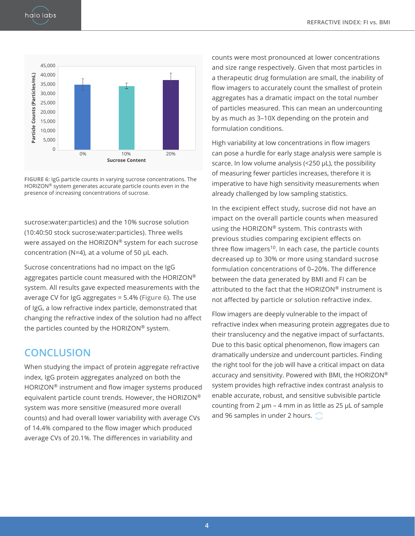

<span id="page-3-0"></span>**Figure 6:** IgG particle counts in varying sucrose concentrations. The HORIZON® system generates accurate particle counts even in the presence of increasing concentrations of sucrose.

sucrose:water:particles) and the 10% sucrose solution (10:40:50 stock sucrose:water:particles). Three wells were assayed on the HORIZON® system for each sucrose concentration (N=4), at a volume of 50 μL each.

Sucrose concentrations had no impact on the IgG aggregates particle count measured with the HORIZON® system. All results gave expected measurements with the average CV for IgG aggregates = 5.4% (**[Figure 6](#page-3-0)**). The use of IgG, a low refractive index particle, demonstrated that changing the refractive index of the solution had no affect the particles counted by the HORIZON® system.

## **CONCLUSION**

When studying the impact of protein aggregate refractive index, IgG protein aggregates analyzed on both the HORIZON® instrument and flow imager systems produced equivalent particle count trends. However, the HORIZON® system was more sensitive (measured more overall counts) and had overall lower variability with average CVs of 14.4% compared to the flow imager which produced average CVs of 20.1%. The differences in variability and

counts were most pronounced at lower concentrations and size range respectively. Given that most particles in a therapeutic drug formulation are small, the inability of flow imagers to accurately count the smallest of protein aggregates has a dramatic impact on the total number of particles measured. This can mean an undercounting by as much as 3–10X depending on the protein and formulation conditions.

High variability at low concentrations in flow imagers can pose a hurdle for early stage analysis were sample is scarce. In low volume analysis (<250 µL), the possibility of measuring fewer particles increases, therefore it is imperative to have high sensitivity measurements when already challenged by low sampling statistics.

In the excipient effect study, sucrose did not have an impact on the overall particle counts when measured using the HORIZON® system. This contrasts with previous studies comparing excipient effects on three flow imagers<sup>10</sup>. In each case, the particle counts decreased up to 30% or more using standard sucrose formulation concentrations of 0–20%. The difference between the data generated by BMI and FI can be attributed to the fact that the HORIZON® instrument is not affected by particle or solution refractive index.

Flow imagers are deeply vulnerable to the impact of refractive index when measuring protein aggregates due to their translucency and the negative impact of surfactants. Due to this basic optical phenomenon, flow imagers can dramatically undersize and undercount particles. Finding the right tool for the job will have a critical impact on data accuracy and sensitivity. Powered with BMI, the HORIZON® system provides high refractive index contrast analysis to enable accurate, robust, and sensitive subvisible particle counting from 2  $\mu$ m – 4 mm in as little as 25  $\mu$ L of sample and 96 samples in under 2 hours.  $\bigcirc$